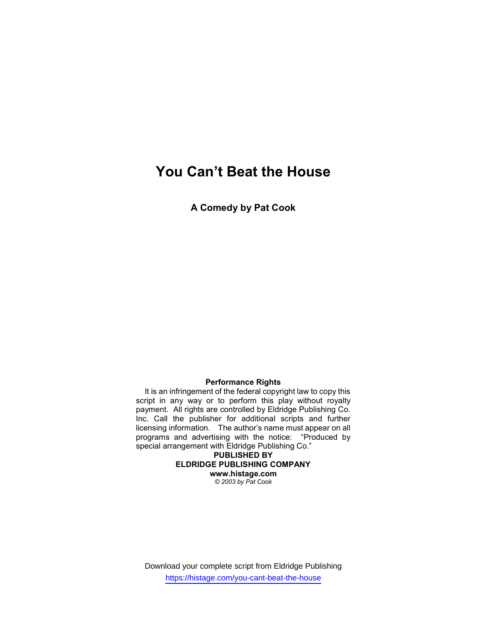# You Can't Beat the House

A Comedy by Pat Cook

### Performance Rights

 It is an infringement of the federal copyright law to copy this script in any way or to perform this play without royalty payment. All rights are controlled by Eldridge Publishing Co. Inc. Call the publisher for additional scripts and further licensing information. The author's name must appear on all programs and advertising with the notice: "Produced by special arrangement with Eldridge Publishing Co."

PUBLISHED BY ELDRIDGE PUBLISHING COMPANY www.histage.com © 2003 by Pat Cook

Download your complete script from Eldridge Publishing https://histage.com/you-cant-beat-the-house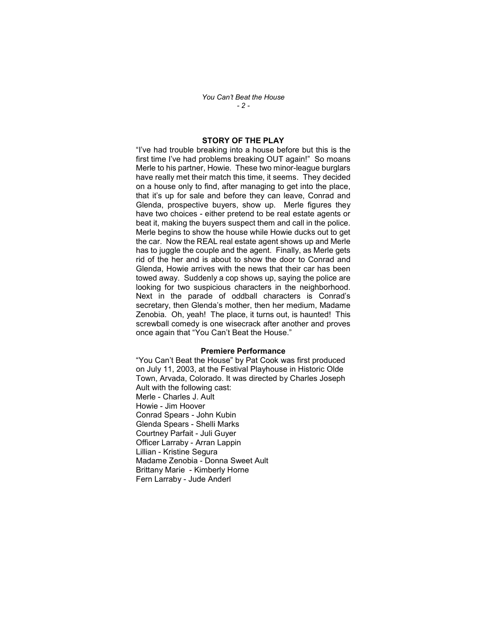You Can't Beat the House  $-2-$ 

### STORY OF THE PLAY

"I've had trouble breaking into a house before but this is the first time I've had problems breaking OUT again!" So moans Merle to his partner, Howie. These two minor-league burglars have really met their match this time, it seems. They decided on a house only to find, after managing to get into the place, that it's up for sale and before they can leave, Conrad and Glenda, prospective buyers, show up. Merle figures they have two choices - either pretend to be real estate agents or beat it, making the buyers suspect them and call in the police. Merle begins to show the house while Howie ducks out to get the car. Now the REAL real estate agent shows up and Merle has to juggle the couple and the agent. Finally, as Merle gets rid of the her and is about to show the door to Conrad and Glenda, Howie arrives with the news that their car has been towed away. Suddenly a cop shows up, saying the police are looking for two suspicious characters in the neighborhood. Next in the parade of oddball characters is Conrad's secretary, then Glenda's mother, then her medium, Madame Zenobia. Oh, yeah! The place, it turns out, is haunted! This screwball comedy is one wisecrack after another and proves once again that "You Can't Beat the House."

#### Premiere Performance

"You Can't Beat the House" by Pat Cook was first produced on July 11, 2003, at the Festival Playhouse in Historic Olde Town, Arvada, Colorado. It was directed by Charles Joseph Ault with the following cast: Merle - Charles J. Ault Howie - Jim Hoover Conrad Spears - John Kubin Glenda Spears - Shelli Marks Courtney Parfait - Juli Guyer Officer Larraby - Arran Lappin Lillian - Kristine Segura Madame Zenobia - Donna Sweet Ault Brittany Marie - Kimberly Horne Fern Larraby - Jude Anderl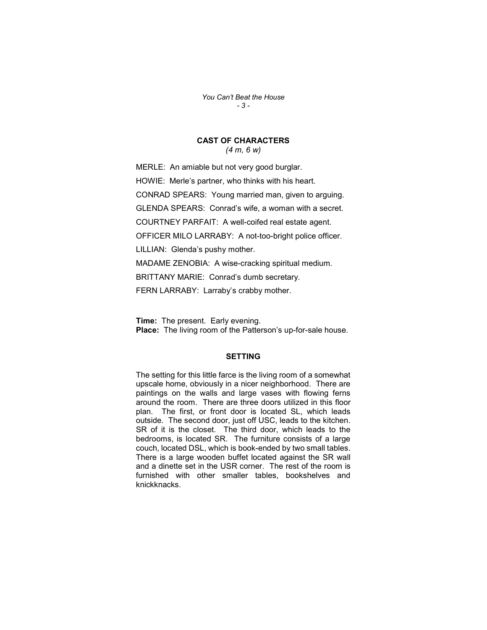You Can't Beat the House - 3 -

# CAST OF CHARACTERS

(4 m, 6 w)

MERLE: An amiable but not very good burglar. HOWIE: Merle's partner, who thinks with his heart. CONRAD SPEARS: Young married man, given to arguing. GLENDA SPEARS: Conrad's wife, a woman with a secret. COURTNEY PARFAIT: A well-coifed real estate agent. OFFICER MILO LARRABY: A not-too-bright police officer. LILLIAN: Glenda's pushy mother. MADAME ZENOBIA: A wise-cracking spiritual medium. BRITTANY MARIE: Conrad's dumb secretary. FERN LARRABY: Larraby's crabby mother.

**Time:** The present. Early evening. Place: The living room of the Patterson's up-for-sale house.

#### **SETTING**

The setting for this little farce is the living room of a somewhat upscale home, obviously in a nicer neighborhood. There are paintings on the walls and large vases with flowing ferns around the room. There are three doors utilized in this floor plan. The first, or front door is located SL, which leads outside. The second door, just off USC, leads to the kitchen. SR of it is the closet. The third door, which leads to the bedrooms, is located SR. The furniture consists of a large couch, located DSL, which is book-ended by two small tables. There is a large wooden buffet located against the SR wall and a dinette set in the USR corner. The rest of the room is furnished with other smaller tables, bookshelves and knickknacks.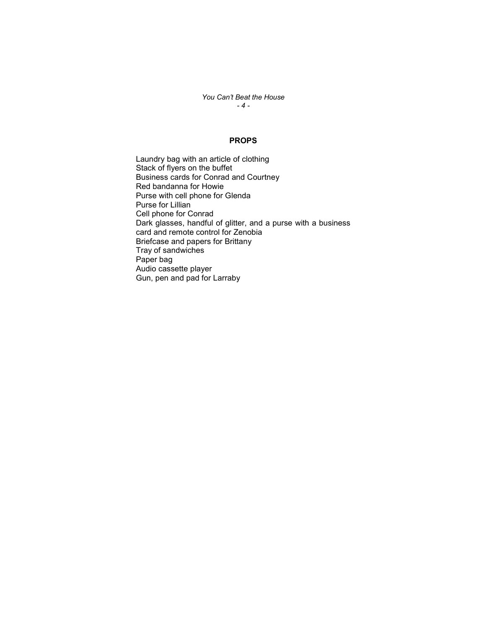You Can't Beat the House  $-4-$ 

### PROPS

Laundry bag with an article of clothing Stack of flyers on the buffet Business cards for Conrad and Courtney Red bandanna for Howie Purse with cell phone for Glenda Purse for Lillian Cell phone for Conrad Dark glasses, handful of glitter, and a purse with a business card and remote control for Zenobia Briefcase and papers for Brittany Tray of sandwiches Paper bag Audio cassette player Gun, pen and pad for Larraby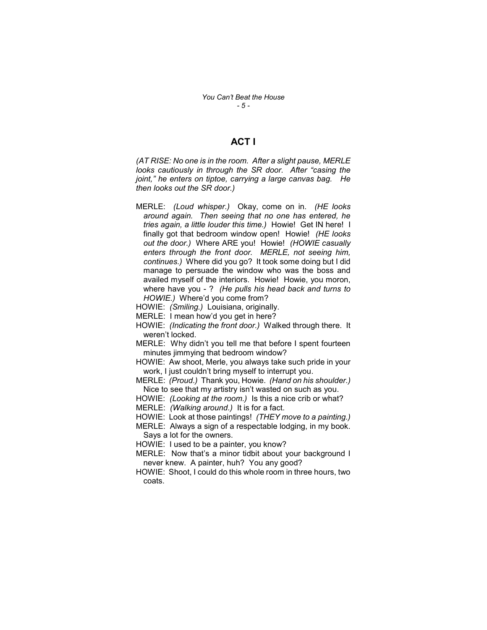## ACT I

(AT RISE: No one is in the room. After a slight pause, MERLE looks cautiously in through the SR door. After "casing the joint," he enters on tiptoe, carrying a large canvas bag. He then looks out the SR door.)

- MERLE: (Loud whisper.) Okay, come on in. (HE looks around again. Then seeing that no one has entered, he tries again, a little louder this time.) Howie! Get IN here! I finally got that bedroom window open! Howie! (HE looks out the door.) Where ARE you! Howie! (HOWIE casually enters through the front door. MERLE, not seeing him, continues.) Where did you go? It took some doing but I did manage to persuade the window who was the boss and availed myself of the interiors. Howie! Howie, you moron, where have you - ? (He pulls his head back and turns to HOWIE.) Where'd you come from?
- HOWIE: (Smiling.) Louisiana, originally.
- MERLE: I mean how'd you get in here?
- HOWIE: (Indicating the front door.) Walked through there. It weren't locked.
- MERLE: Why didn't you tell me that before I spent fourteen minutes jimmying that bedroom window?
- HOWIE: Aw shoot, Merle, you always take such pride in your work, I just couldn't bring myself to interrupt you.
- MERLE: (Proud.) Thank you, Howie. (Hand on his shoulder.) Nice to see that my artistry isn't wasted on such as you.
- HOWIE: (Looking at the room.) Is this a nice crib or what?
- MERLE: (Walking around.) It is for a fact.
- HOWIE: Look at those paintings! (THEY move to a painting.)
- MERLE: Always a sign of a respectable lodging, in my book. Says a lot for the owners.
- HOWIE: I used to be a painter, you know?
- MERLE: Now that's a minor tidbit about your background I never knew. A painter, huh? You any good?
- HOWIE: Shoot, I could do this whole room in three hours, two coats.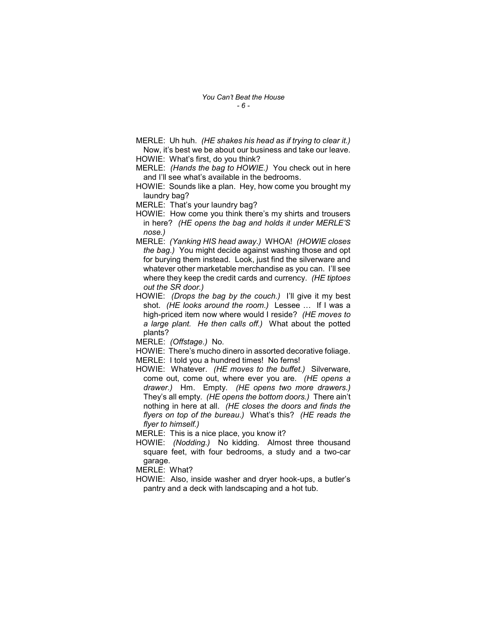MERLE: Uh huh. (HE shakes his head as if trying to clear it.) Now, it's best we be about our business and take our leave.

HOWIE: What's first, do you think?

- MERLE: (Hands the bag to HOWIE.) You check out in here and I'll see what's available in the bedrooms.
- HOWIE: Sounds like a plan. Hey, how come you brought my laundry bag?

MERLE: That's your laundry bag?

HOWIE: How come you think there's my shirts and trousers in here? (HE opens the bag and holds it under MERLE'S nose.)

- MERLE: (Yanking HIS head away.) WHOA! (HOWIE closes the bag.) You might decide against washing those and opt for burying them instead. Look, just find the silverware and whatever other marketable merchandise as you can. I'll see where they keep the credit cards and currency. (HE tiptoes out the SR door.)
- HOWIE: (Drops the bag by the couch.) I'll give it my best shot. (HE looks around the room.) Lessee … If I was a high-priced item now where would I reside? (HE moves to a large plant. He then calls off.) What about the potted plants?

MERLE: (Offstage.) No.

- HOWIE: There's mucho dinero in assorted decorative foliage.
- MERLE: I told you a hundred times! No ferns!
- HOWIE: Whatever. (HE moves to the buffet.) Silverware, come out, come out, where ever you are. (HE opens a drawer.) Hm. Empty. (HE opens two more drawers.) They's all empty. (HE opens the bottom doors.) There ain't nothing in here at all. (HE closes the doors and finds the flyers on top of the bureau.) What's this? (HE reads the flyer to himself.)

MERLE: This is a nice place, you know it?

HOWIE: (Nodding.) No kidding. Almost three thousand square feet, with four bedrooms, a study and a two-car garage.

MERLE: What?

HOWIE: Also, inside washer and dryer hook-ups, a butler's pantry and a deck with landscaping and a hot tub.